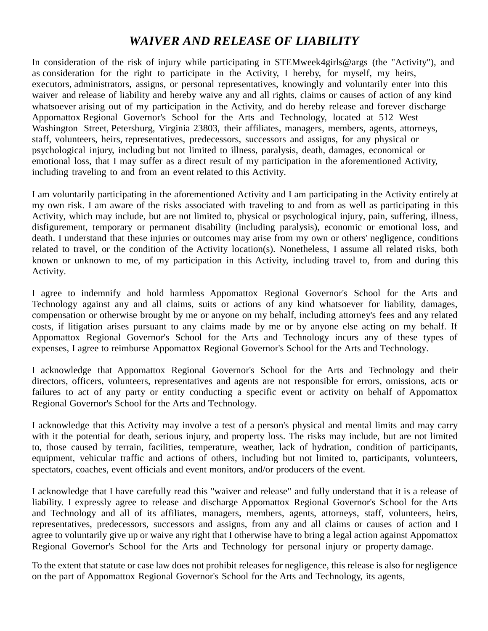## *WAIVER AND RELEASE OF LIABILITY*

In consideration of the risk of injury while participating in STEMweek4girls@args (the "Activity"), and as consideration for the right to participate in the Activity, I hereby, for myself, my heirs, executors, administrators, assigns, or personal representatives, knowingly and voluntarily enter into this waiver and release of liability and hereby waive any and all rights, claims or causes of action of any kind whatsoever arising out of my participation in the Activity, and do hereby release and forever discharge Appomattox Regional Governor's School for the Arts and Technology, located at 512 West Washington Street, Petersburg, Virginia 23803, their affiliates, managers, members, agents, attorneys, staff, volunteers, heirs, representatives, predecessors, successors and assigns, for any physical or psychological injury, including but not limited to illness, paralysis, death, damages, economical or emotional loss, that I may suffer as a direct result of my participation in the aforementioned Activity, including traveling to and from an event related to this Activity.

I am voluntarily participating in the aforementioned Activity and I am participating in the Activity entirely at my own risk. I am aware of the risks associated with traveling to and from as well as participating in this Activity, which may include, but are not limited to, physical or psychological injury, pain, suffering, illness, disfigurement, temporary or permanent disability (including paralysis), economic or emotional loss, and death. I understand that these injuries or outcomes may arise from my own or others' negligence, conditions related to travel, or the condition of the Activity location(s). Nonetheless, I assume all related risks, both known or unknown to me, of my participation in this Activity, including travel to, from and during this Activity.

I agree to indemnify and hold harmless Appomattox Regional Governor's School for the Arts and Technology against any and all claims, suits or actions of any kind whatsoever for liability, damages, compensation or otherwise brought by me or anyone on my behalf, including attorney's fees and any related costs, if litigation arises pursuant to any claims made by me or by anyone else acting on my behalf. If Appomattox Regional Governor's School for the Arts and Technology incurs any of these types of expenses, I agree to reimburse Appomattox Regional Governor's School for the Arts and Technology.

I acknowledge that Appomattox Regional Governor's School for the Arts and Technology and their directors, officers, volunteers, representatives and agents are not responsible for errors, omissions, acts or failures to act of any party or entity conducting a specific event or activity on behalf of Appomattox Regional Governor's School for the Arts and Technology.

I acknowledge that this Activity may involve a test of a person's physical and mental limits and may carry with it the potential for death, serious injury, and property loss. The risks may include, but are not limited to, those caused by terrain, facilities, temperature, weather, lack of hydration, condition of participants, equipment, vehicular traffic and actions of others, including but not limited to, participants, volunteers, spectators, coaches, event officials and event monitors, and/or producers of the event.

I acknowledge that I have carefully read this "waiver and release" and fully understand that it is a release of liability. I expressly agree to release and discharge Appomattox Regional Governor's School for the Arts and Technology and all of its affiliates, managers, members, agents, attorneys, staff, volunteers, heirs, representatives, predecessors, successors and assigns, from any and all claims or causes of action and I agree to voluntarily give up or waive any right that I otherwise have to bring a legal action against Appomattox Regional Governor's School for the Arts and Technology for personal injury or property damage.

To the extent that statute or case law does not prohibit releases for negligence, this release is also for negligence on the part of Appomattox Regional Governor's School for the Arts and Technology, its agents,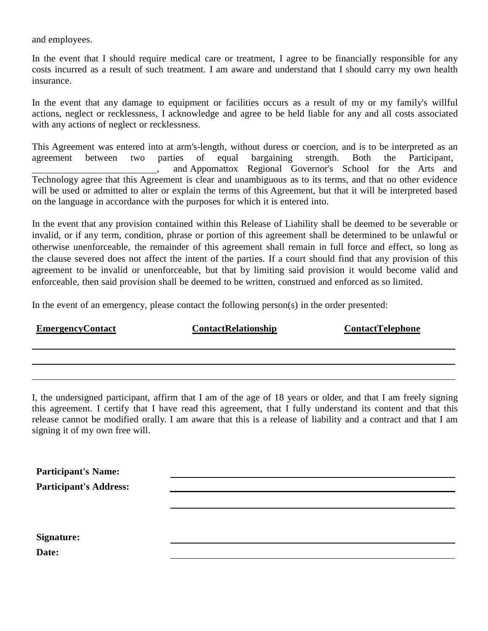and employees.

In the event that I should require medical care or treatment, I agree to be financially responsible for any costs incurred as a result of such treatment. I am aware and understand that I should carry my own health insurance.

In the event that any damage to equipment or facilities occurs as a result of my or my family's willful actions, neglect or recklessness, I acknowledge and agree to be held liable for any and all costs associated with any actions of neglect or recklessness.

This Agreement was entered into at arm's-length, without duress or coercion, and is to be interpreted as an agreement between two parties of equal bargaining strength. Both the Participant, , and Appomattox Regional Governor's School for the Arts and Technology agree that this Agreement is clear and unambiguous as to its terms, and that no other evidence will be used or admitted to alter or explain the terms of this Agreement, but that it will be interpreted based on the language in accordance with the purposes for which it is entered into.

In the event that any provision contained within this Release of Liability shall be deemed to be severable or invalid, or if any term, condition, phrase or portion of this agreement shall be determined to be unlawful or otherwise unenforceable, the remainder of this agreement shall remain in full force and effect, so long as the clause severed does not affect the intent of the parties. If a court should find that any provision of this agreement to be invalid or unenforceable, but that by limiting said provision it would become valid and enforceable, then said provision shall be deemed to be written, construed and enforced as so limited.

In the event of an emergency, please contact the following person(s) in the order presented:

| <u>EmergencyContact</u> | <b>ContactRelationship</b> | <b>ContactTelephone</b> |
|-------------------------|----------------------------|-------------------------|
|                         |                            |                         |

I, the undersigned participant, affirm that I am of the age of 18 years or older, and that I am freely signing this agreement. I certify that I have read this agreement, that I fully understand its content and that this release cannot be modified orally. I am aware that this is a release of liability and a contract and that I am signing it of my own free will.

| <b>Participant's Name:</b>    |  |  |
|-------------------------------|--|--|
| <b>Participant's Address:</b> |  |  |
|                               |  |  |
|                               |  |  |
|                               |  |  |
| Signature:                    |  |  |
| Date:                         |  |  |